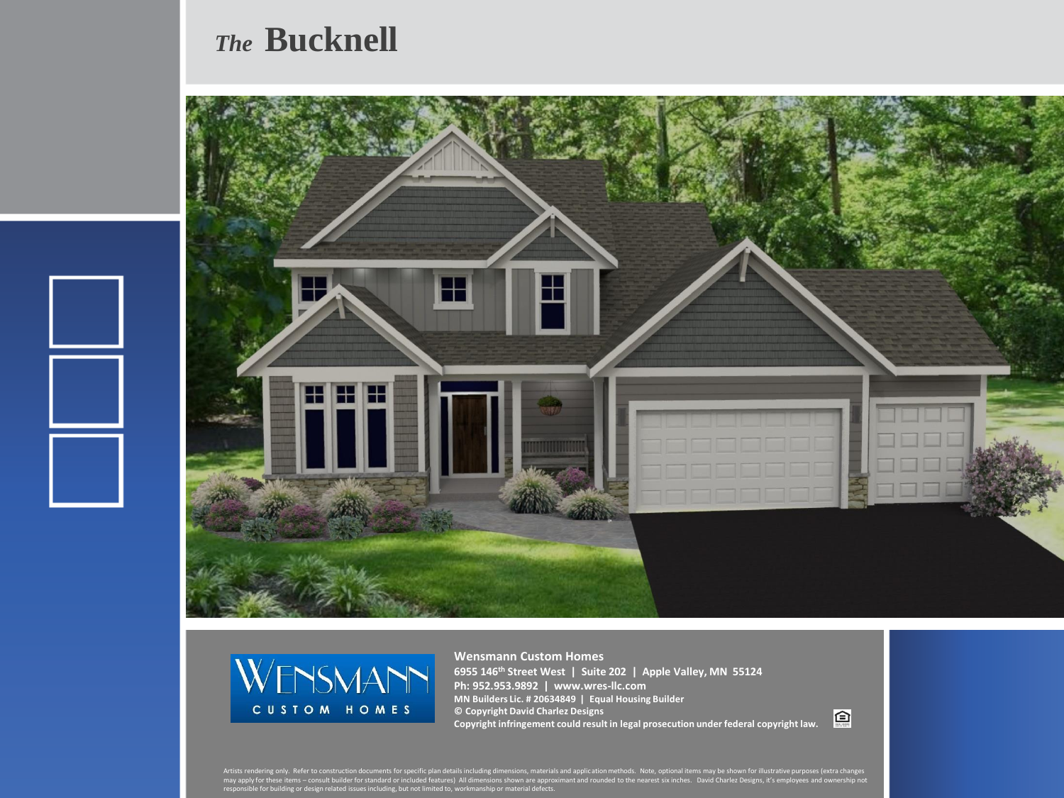## *The* **Bucknell**





**Wensmann Custom Homes 6955 146th Street West | Suite 202 | Apple Valley, MN 55124 Ph: 952.953.9892 | www.wres-llc.com MN Builders Lic. # 20634849 | Equal Housing Builder © Copyright David Charlez Designs Copyright infringement could result in legal prosecution under federal copyright law.**

回

Artists rendering only. Refer to construction documents for specific plan details including dimensions, materials and application methods. Note, optional items may be shown for illustrative purposes (extra changes<br>may appl